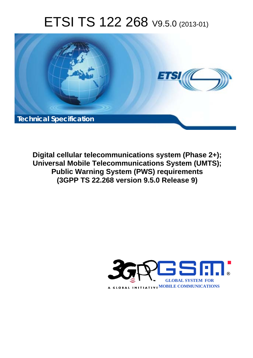# ETSI TS 122 268 V9.5.0 (2013-01)



**Digital cellular telecommunications system (Phase 2+); Universal Mobile Telecommunications System (UMTS); Public Warning System (PWS) requirements (3GPP TS 22.268 version 9.5.0 Release 9)** 

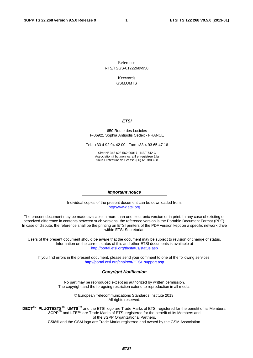Reference RTS/TSGS-0122268v950

> Keywords GSM,UMTS

#### *ETSI*

#### 650 Route des Lucioles F-06921 Sophia Antipolis Cedex - FRANCE

Tel.: +33 4 92 94 42 00 Fax: +33 4 93 65 47 16

Siret N° 348 623 562 00017 - NAF 742 C Association à but non lucratif enregistrée à la Sous-Préfecture de Grasse (06) N° 7803/88

#### *Important notice*

Individual copies of the present document can be downloaded from: [http://www.etsi.org](http://www.etsi.org/)

The present document may be made available in more than one electronic version or in print. In any case of existing or perceived difference in contents between such versions, the reference version is the Portable Document Format (PDF). In case of dispute, the reference shall be the printing on ETSI printers of the PDF version kept on a specific network drive within ETSI Secretariat.

Users of the present document should be aware that the document may be subject to revision or change of status. Information on the current status of this and other ETSI documents is available at <http://portal.etsi.org/tb/status/status.asp>

If you find errors in the present document, please send your comment to one of the following services: [http://portal.etsi.org/chaircor/ETSI\\_support.asp](http://portal.etsi.org/chaircor/ETSI_support.asp)

#### *Copyright Notification*

No part may be reproduced except as authorized by written permission. The copyright and the foregoing restriction extend to reproduction in all media.

> © European Telecommunications Standards Institute 2013. All rights reserved.

**DECT**TM, **PLUGTESTS**TM, **UMTS**TM and the ETSI logo are Trade Marks of ETSI registered for the benefit of its Members. **3GPP**TM and **LTE**™ are Trade Marks of ETSI registered for the benefit of its Members and of the 3GPP Organizational Partners.

**GSM**® and the GSM logo are Trade Marks registered and owned by the GSM Association.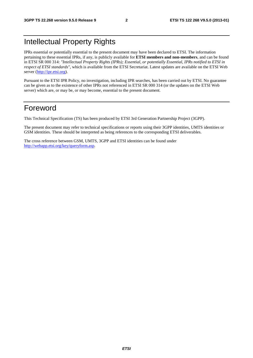## Intellectual Property Rights

IPRs essential or potentially essential to the present document may have been declared to ETSI. The information pertaining to these essential IPRs, if any, is publicly available for **ETSI members and non-members**, and can be found in ETSI SR 000 314: *"Intellectual Property Rights (IPRs); Essential, or potentially Essential, IPRs notified to ETSI in respect of ETSI standards"*, which is available from the ETSI Secretariat. Latest updates are available on the ETSI Web server ([http://ipr.etsi.org\)](http://webapp.etsi.org/IPR/home.asp).

Pursuant to the ETSI IPR Policy, no investigation, including IPR searches, has been carried out by ETSI. No guarantee can be given as to the existence of other IPRs not referenced in ETSI SR 000 314 (or the updates on the ETSI Web server) which are, or may be, or may become, essential to the present document.

#### Foreword

This Technical Specification (TS) has been produced by ETSI 3rd Generation Partnership Project (3GPP).

The present document may refer to technical specifications or reports using their 3GPP identities, UMTS identities or GSM identities. These should be interpreted as being references to the corresponding ETSI deliverables.

The cross reference between GSM, UMTS, 3GPP and ETSI identities can be found under [http://webapp.etsi.org/key/queryform.asp.](http://webapp.etsi.org/key/queryform.asp)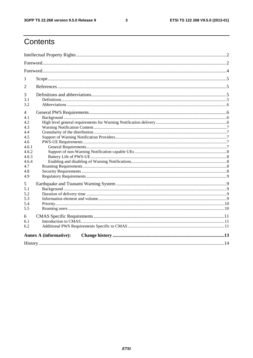$\mathbf{3}$ 

## Contents

| 1                             |  |  |  |  |  |
|-------------------------------|--|--|--|--|--|
| 2                             |  |  |  |  |  |
| 3<br>3.1                      |  |  |  |  |  |
| 3.2                           |  |  |  |  |  |
| 4<br>4.1                      |  |  |  |  |  |
| 4.2.<br>4.3<br>4.4            |  |  |  |  |  |
| 4.5<br>4.6<br>4.6.1           |  |  |  |  |  |
| 4.6.2<br>4.6.3                |  |  |  |  |  |
| 4.6.4<br>4.7<br>4.8           |  |  |  |  |  |
| 4.9                           |  |  |  |  |  |
| 5<br>5.1                      |  |  |  |  |  |
| 5.2<br>5.3                    |  |  |  |  |  |
| 5.4<br>5.5                    |  |  |  |  |  |
| 6<br>6.1                      |  |  |  |  |  |
| 6.2                           |  |  |  |  |  |
| <b>Annex A (informative):</b> |  |  |  |  |  |
|                               |  |  |  |  |  |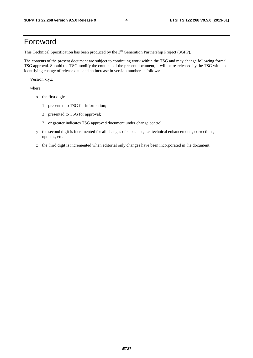#### Foreword

This Technical Specification has been produced by the 3<sup>rd</sup> Generation Partnership Project (3GPP).

The contents of the present document are subject to continuing work within the TSG and may change following formal TSG approval. Should the TSG modify the contents of the present document, it will be re-released by the TSG with an identifying change of release date and an increase in version number as follows:

Version x.y.z

where:

- x the first digit:
	- 1 presented to TSG for information;
	- 2 presented to TSG for approval;
	- 3 or greater indicates TSG approved document under change control.
- y the second digit is incremented for all changes of substance, i.e. technical enhancements, corrections, updates, etc.
- z the third digit is incremented when editorial only changes have been incorporated in the document.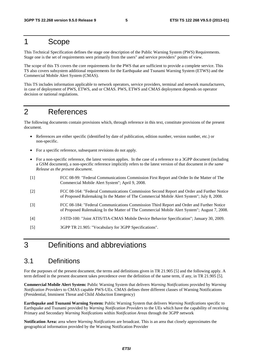#### 1 Scope

This Technical Specification defines the stage one description of the Public Warning System (PWS) Requirements. Stage one is the set of requirements seen primarily from the users" and service providers" points of view.

The scope of this TS covers the core requirements for the PWS that are sufficient to provide a complete service. This TS also covers subsystem additional requirements for the Earthquake and Tsunami Warning System (ETWS) and the Commercial Mobile Alert System (CMAS).

This TS includes information applicable to network operators, service providers, terminal and network manufacturers, in case of deployment of PWS, ETWS, and or CMAS. PWS, ETWS and CMAS deployment depends on operator decision or national regulations.

## 2 References

The following documents contain provisions which, through reference in this text, constitute provisions of the present document.

- References are either specific (identified by date of publication, edition number, version number, etc.) or non-specific.
- For a specific reference, subsequent revisions do not apply.
- For a non-specific reference, the latest version applies. In the case of a reference to a 3GPP document (including a GSM document), a non-specific reference implicitly refers to the latest version of that document *in the same Release as the present document*.
- [1] FCC 08-99: "Federal Communications Commission First Report and Order In the Matter of The Commercial Mobile Alert System"; April 9, 2008.
- [2] FCC 08-164: "Federal Communications Commission Second Report and Order and Further Notice of Proposed Rulemaking In the Matter of The Commercial Mobile Alert System"; July 8, 2008.
- [3] FCC 08-184: "Federal Communications Commission Third Report and Order and Further Notice of Proposed Rulemaking In the Matter of The Commercial Mobile Alert System"; August 7, 2008.
- [4] J-STD-100: "Joint ATIS/TIA-CMAS Mobile Device Behavior Specification"; January 30, 2009.
- [5] 3GPP TR 21.905: "Vocabulary for 3GPP Specifications".

#### 3 Definitions and abbreviations

#### 3.1 Definitions

For the purposes of the present document, the terms and definitions given in TR 21.905 [5] and the following apply. A term defined in the present document takes precedence over the definition of the same term, if any, in TR 21.905 [5].

**Commercial Mobile Alert System:** Public Warning System that delivers *Warning Notifications* provided by *Warning Notification Providers* to CMAS capable PWS-UEs. CMAS defines three different classes of Warning Notifications (Presidential, Imminent Threat and Child Abduction Emergency)

**Earthquake and Tsunami Warning System:** Public Warning System that delivers *Warning Notifications* specific to Earthquake and Tsunami provided by *Warning Notification Providers* to the UEs which have the capability of receiving Primary and Secondary *Warning Notifications* within *Notification Areas* through the 3GPP network

**Notification Area:** area where *Warning Notifications* are broadcast. This is an area that closely approximates the geographical information provided by the Warning Notification Provider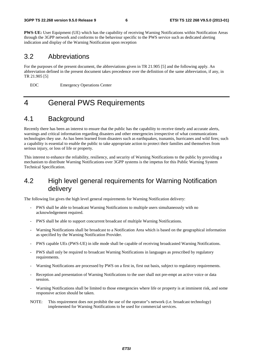**PWS-UE:** User Equipment (UE) which has the capability of receiving Warning Notifications within Notification Areas through the 3GPP network and conforms to the behaviour specific to the PWS service such as dedicated alerting indication and display of the Warning Notification upon reception

#### 3.2 Abbreviations

For the purposes of the present document, the abbreviations given in TR 21.905 [5] and the following apply. An abbreviation defined in the present document takes precedence over the definition of the same abbreviation, if any, in TR 21.905 [5]

EOC Emergency Operations Center

## 4 General PWS Requirements

#### 4.1 Background

Recently there has been an interest to ensure that the public has the capability to receive timely and accurate alerts, warnings and critical information regarding disasters and other emergencies irrespective of what communications technologies they use. As has been learned from disasters such as earthquakes, tsunamis, hurricanes and wild fires; such a capability is essential to enable the public to take appropriate action to protect their families and themselves from serious injury, or loss of life or property.

This interest to enhance the reliability, resiliency, and security of Warning Notifications to the public by providing a mechanism to distribute Warning Notifications over 3GPP systems is the impetus for this Public Warning System Technical Specification.

#### 4.2 High level general requirements for Warning Notification delivery

The following list gives the high level general requirements for Warning Notification delivery:

- PWS shall be able to broadcast Warning Notifications to multiple users simultaneously with no acknowledgement required.
- PWS shall be able to support concurrent broadcast of multiple Warning Notifications.
- Warning Notifications shall be broadcast to a Notification Area which is based on the geographical information as specified by the Warning Notification Provider.
- PWS capable UEs (PWS-UE) in idle mode shall be capable of receiving broadcasted Warning Notifications.
- PWS shall only be required to broadcast Warning Notifications in languages as prescribed by regulatory requirements.
- Warning Notifications are processed by PWS on a first in, first out basis, subject to regulatory requirements.
- Reception and presentation of Warning Notifications to the user shall not pre-empt an active voice or data session.
- Warning Notifications shall be limited to those emergencies where life or property is at imminent risk, and some responsive action should be taken.
- NOTE: This requirement does not prohibit the use of the operator"s network (i.e. broadcast technology) implemented for Warning Notifications to be used for commercial services.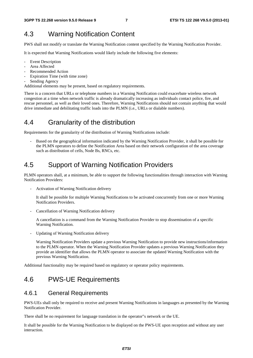#### 4.3 Warning Notification Content

PWS shall not modify or translate the Warning Notification content specified by the Warning Notification Provider.

It is expected that Warning Notifications would likely include the following five elements:

- **Event Description**
- Area Affected
- Recommended Action
- Expiration Time (with time zone)
- Sending Agency

Additional elements may be present, based on regulatory requirements.

There is a concern that URLs or telephone numbers in a Warning Notification could exacerbate wireless network congestion at a time when network traffic is already dramatically increasing as individuals contact police, fire, and rescue personnel, as well as their loved ones. Therefore, Warning Notifications should not contain anything that would drive immediate and debilitating traffic loads into the PLMN (i.e., URLs or dialable numbers).

#### 4.4 Granularity of the distribution

Requirements for the granularity of the distribution of Warning Notifications include:

- Based on the geographical information indicated by the Warning Notification Provider, it shall be possible for the PLMN operators to define the Notification Area based on their network configuration of the area coverage such as distribution of cells, Node Bs, RNCs, etc.

#### 4.5 Support of Warning Notification Providers

PLMN operators shall, at a minimum, be able to support the following functionalities through interaction with Warning Notification Providers:

- Activation of Warning Notification delivery

It shall be possible for multiple Warning Notifications to be activated concurrently from one or more Warning Notification Providers.

Cancellation of Warning Notification delivery

A cancellation is a command from the Warning Notification Provider to stop dissemination of a specific Warning Notification.

- Updating of Warning Notification delivery

Warning Notification Providers update a previous Warning Notification to provide new instructions/information to the PLMN operator. When the Warning Notification Provider updates a previous Warning Notification they provide an identifier that allows the PLMN operator to associate the updated Warning Notification with the previous Warning Notification.

Additional functionality may be required based on regulatory or operator policy requirements.

#### 4.6 PWS-UE Requirements

#### 4.6.1 General Requirements

PWS-UEs shall only be required to receive and present Warning Notifications in languages as presented by the Warning Notification Provider.

There shall be no requirement for language translation in the operator"s network or the UE.

It shall be possible for the Warning Notification to be displayed on the PWS-UE upon reception and without any user interaction.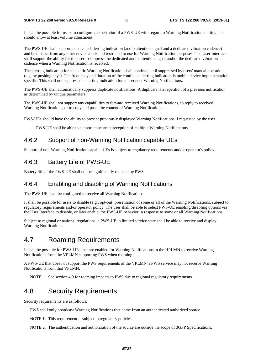It shall be possible for users to configure the behavior of a PWS-UE with regard to Warning Notification alerting and should allow at least volume adjustment.

The PWS-UE shall support a dedicated alerting indication (audio attention signal and a dedicated vibration cadence) and be distinct from any other device alerts and restricted to use for Warning Notification purposes. The User Interface shall support the ability for the user to suppress the dedicated audio attention signal and/or the dedicated vibration cadence when a Warning Notification is received.

The alerting indication for a specific Warning Notification shall continue until suppressed by users' manual operation (e.g. by pushing keys). The frequency and duration of the continued alerting indication is mobile device implementation specific. This shall not suppress the alerting indication for subsequent Warning Notifications.

The PWS-UE shall automatically suppress duplicate notifications. A duplicate is a repetition of a previous notification as determined by unique parameters.

The PWS-UE shall not support any capabilities to forward received Warning Notifications, to reply to received Warning Notifications, or to copy and paste the content of Warning Notifications.

PWS-UEs should have the ability to present previously displayed Warning Notifications if requested by the user.

- PWS-UE shall be able to support concurrent reception of multiple Warning Notifications.

#### 4.6.2 Support of non-Warning Notification capable UEs

Support of non-Warning Notification capable UEs is subject to regulatory requirements and/or operator's policy.

#### 4.6.3 Battery Life of PWS-UE

Battery life of the PWS-UE shall not be significantly reduced by PWS.

#### 4.6.4 Enabling and disabling of Warning Notifications

The PWS-UE shall be configured to receive all Warning Notifications.

It shall be possible for users to disable (e.g., opt-out) presentation of some or all of the Warning Notifications, subject to regulatory requirements and/or operator policy. The user shall be able to select PWS-UE enabling/disabling options via the User Interface to disable, or later enable, the PWS-UE behavior in response to some or all Warning Notifications.

Subject to regional or national regulations, a PWS-UE in limited service state shall be able to receive and display Warning Notifications.

#### 4.7 Roaming Requirements

It shall be possible for PWS-UEs that are enabled for Warning Notifications in the HPLMN to receive Warning Notifications from the VPLMN supporting PWS when roaming.

A PWS-UE that does not support the PWS requirements of the VPLMN"s PWS service may not receive Warning Notifications from that VPLMN.

NOTE: See section 4.9 for roaming impacts to PWS due to regional regulatory requirements.

#### 4.8 Security Requirements

Security requirements are as follows:

PWS shall only broadcast Warning Notifications that come from an authenticated authorized source.

NOTE 1: This requirement is subject to regulatory policies.

NOTE 2: The authentication and authorization of the source are outside the scope of 3GPP Specifications.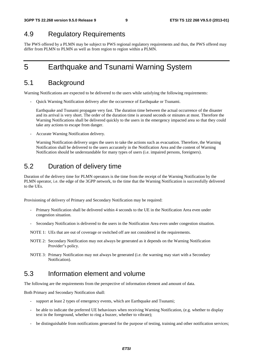#### 4.9 Regulatory Requirements

The PWS offered by a PLMN may be subject to PWS regional regulatory requirements and thus, the PWS offered may differ from PLMN to PLMN as well as from region to region within a PLMN.

## 5 Earthquake and Tsunami Warning System

#### 5.1 Background

Warning Notifications are expected to be delivered to the users while satisfying the following requirements:

- Quick Warning Notification delivery after the occurrence of Earthquake or Tsunami.

 Earthquake and Tsunami propagate very fast. The duration time between the actual occurrence of the disaster and its arrival is very short. The order of the duration time is around seconds or minutes at most. Therefore the Warning Notifications shall be delivered quickly to the users in the emergency impacted area so that they could take any actions to escape from danger.

- Accurate Warning Notification delivery.

 Warning Notification delivery urges the users to take the actions such as evacuation. Therefore, the Warning Notification shall be delivered to the users accurately in the Notification Area and the content of Warning Notification should be understandable for many types of users (i.e. impaired persons, foreigners).

#### 5.2 Duration of delivery time

Duration of the delivery time for PLMN operators is the time from the receipt of the Warning Notification by the PLMN operator, i.e. the edge of the 3GPP network, to the time that the Warning Notification is successfully delivered to the UEs.

Provisioning of delivery of Primary and Secondary Notification may be required:

- Primary Notification shall be delivered within 4 seconds to the UE in the Notification Area even under congestion situation.
- Secondary Notification is delivered to the users in the Notification Area even under congestion situation.

NOTE 1: UEs that are out of coverage or switched off are not considered in the requirements.

- NOTE 2: Secondary Notification may not always be generated as it depends on the Warning Notification Provider"s policy.
- NOTE 3: Primary Notification may not always be generated (i.e. the warning may start with a Secondary Notification).

#### 5.3 Information element and volume

The following are the requirements from the perspective of information element and amount of data.

Both Primary and Secondary Notification shall:

- support at least 2 types of emergency events, which are Earthquake and Tsunami;
- be able to indicate the preferred UE behaviours when receiving Warning Notification, (e.g. whether to display text in the foreground, whether to ring a buzzer, whether to vibrate);
- be distinguishable from notifications generated for the purpose of testing, training and other notification services;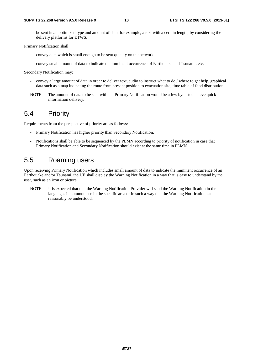be sent in an optimized type and amount of data, for example, a text with a certain length, by considering the delivery platforms for ETWS.

Primary Notification shall:

- convey data which is small enough to be sent quickly on the network.
- convey small amount of data to indicate the imminent occurrence of Earthquake and Tsunami, etc.

Secondary Notification may:

- convey a large amount of data in order to deliver text, audio to instruct what to do / where to get help, graphical data such as a map indicating the route from present position to evacuation site, time table of food distribution.
- NOTE: The amount of data to be sent within a Primary Notification would be a few bytes to achieve quick information delivery.

#### 5.4 Priority

Requirements from the perspective of priority are as follows:

- Primary Notification has higher priority than Secondary Notification.
- Notifications shall be able to be sequenced by the PLMN according to priority of notification in case that Primary Notification and Secondary Notification should exist at the same time in PLMN.

#### 5.5 Roaming users

Upon receiving Primary Notification which includes small amount of data to indicate the imminent occurrence of an Earthquake and/or Tsunami, the UE shall display the Warning Notification in a way that is easy to understand by the user, such as an icon or picture.

NOTE: It is expected that that the Warning Notification Provider will send the Warning Notification in the languages in common use in the specific area or in such a way that the Warning Notification can reasonably be understood.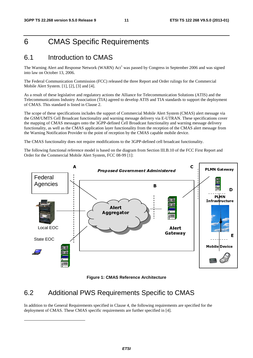## 6 CMAS Specific Requirements

#### 6.1 Introduction to CMAS

The Warning Alert and Response Network (WARN) Act<sup>1</sup> was passed by Congress in September 2006 and was signed into law on October 13, 2006.

The Federal Communication Commission (FCC) released the three Report and Order rulings for the Commercial Mobile Alert System. [1], [2], [3] and [4].

As a result of these legislative and regulatory actions the Alliance for Telecommunication Solutions (ATIS) and the Telecommunications Industry Association (TIA) agreed to develop ATIS and TIA standards to support the deployment of CMAS. This standard is listed in Clause 2.

The scope of these specifications includes the support of Commercial Mobile Alert System (CMAS) alert message via the GSM/UMTS Cell Broadcast functionality and warning message delivery via E-UTRAN. These specifications cover the mapping of CMAS messages onto the 3GPP-defined Cell Broadcast functionality and warning message delivery functionality, as well as the CMAS application layer functionality from the reception of the CMAS alert message from the Warning Notification Provider to the point of reception by the CMAS capable mobile device.

The CMAS functionality does not require modifications to the 3GPP-defined cell broadcast functionality.

The following functional reference model is based on the diagram from Section III.B.10 of the FCC First Report and Order for the Commercial Mobile Alert System, FCC 08-99 [1]:





#### 6.2 Additional PWS Requirements Specific to CMAS

-

In addition to the General Requirements specified in Clause 4, the following requirements are specified for the deployment of CMAS. These CMAS specific requirements are further specified in [4].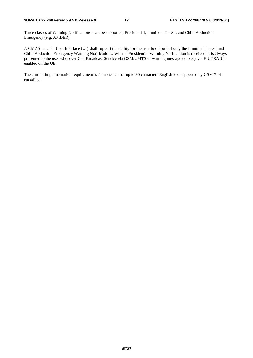Three classes of Warning Notifications shall be supported; Presidential, Imminent Threat, and Child Abduction Emergency (e.g. AMBER).

A CMAS-capable User Interface (UI) shall support the ability for the user to opt-out of only the Imminent Threat and Child Abduction Emergency Warning Notifications. When a Presidential Warning Notification is received, it is always presented to the user whenever Cell Broadcast Service via GSM/UMTS or warning message delivery via E-UTRAN is enabled on the UE.

The current implementation requirement is for messages of up to 90 characters English text supported by GSM 7-bit encoding.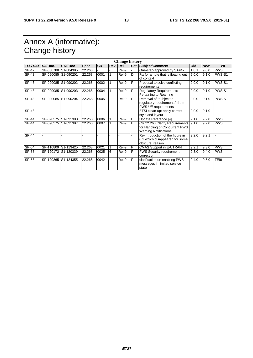## Annex A (informative): Change history

| <b>Change history</b> |                |                      |             |           |     |       |     |                                                                                                  |       |            |            |
|-----------------------|----------------|----------------------|-------------|-----------|-----|-------|-----|--------------------------------------------------------------------------------------------------|-------|------------|------------|
| <b>TSG SA#</b>        | <b>SA Doc.</b> | SA1 Doc              | <b>Spec</b> | <b>CR</b> | Rev | Rel   | Cat | Subject/Comment                                                                                  | Old   | <b>New</b> | WI         |
| SP-42                 |                | SP-080788 S1-084395  | 22.268      |           |     | Rel-9 |     | One-step-approved by SA#42                                                                       | 1.0.1 | 9.0.0      | <b>PWS</b> |
| SP-43                 |                | SP-090085 S1-090201  | 22.268      | 0001      |     | Rel-9 | D   | Fix for a note that is floating out<br>of context                                                | 9.0.0 | 9.1.0      | PWS-S1     |
| SP-43                 |                | SP-090085 S1-090202  | 22.268      | 0002      |     | Rel-9 | F   | Proposal to solve conflicting<br>requirements                                                    | 9.0.0 | 9.1.0      | PWS-S1     |
| SP-43                 |                | SP-090085 S1-090203  | 22.268      | 0004      |     | Rel-9 | F   | <b>Regulatory Requirements</b><br>Pertaining to Roaming                                          | 9.0.0 | 9.1.0      | PWS-S1     |
| SP-43                 |                | SP-090085 S1-090204  | 22.268      | 0005      |     | Rel-9 | F   | Removal of "subject to<br>regulatory requirements" from<br>PWS-UE requirements                   | 9.0.0 | 9.1.0      | PWS-S1     |
| SP-43                 |                |                      |             |           |     |       |     | ETSI clean-up: apply correct<br>style and layout                                                 | 9.0.0 | 9.1.0      |            |
| SP-44                 | SP-090375      | S1-091398            | 22.268      | 0006      |     | Rel-9 | F   | Update Reference [4]                                                                             | 9.1.0 | 9.2.0      | <b>PWS</b> |
| SP-44                 |                | SP-090375 S1-091397  | 22.268      | 0007      |     | Rel-9 | F   | CR 22.268 Clarify Requirements<br>for Handling of Concurrent PWS<br><b>Warning Notifications</b> | 9.1.0 | 9.2.0      | <b>PWS</b> |
| <b>SP-44</b>          |                |                      |             |           |     |       |     | Re-introduction of the figure in<br>6.1 which disappeared for some<br>obscure reason             | 9.2.0 | 9.2.1      |            |
| SP-54                 |                | SP-110809 S1-113425  | 22.268      | 0021      |     | Rel-9 | F   | <b>CMAS Support in E-UTRAN</b>                                                                   | 9.2.1 | 9.3.0      | <b>PWS</b> |
| SP-55                 |                | SP-120172 S1-120339r | 22.268      | 0025      | 6   | Rel-9 | F   | <b>PWS Security requirement</b><br>correction                                                    | 9.3.0 | 9.4.0      | <b>PWS</b> |
| SP-58                 |                | SP-120865 S1-124355  | 22.268      | 0042      |     | Rel-9 | F   | clarification on enabling PWS<br>messages in limited service<br>state                            | 9.4.0 | 9.5.0      | TEI9       |